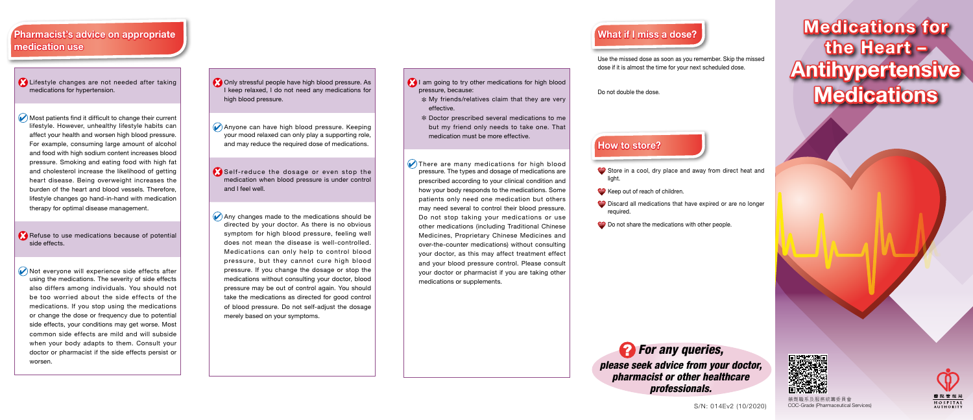## What if I miss a dose?

Use the missed dose as soon as you remember. Skip the missed dose if it is almost the time for your next scheduled dose.

Do not double the dose.

### How to store?

Store in a cool, dry place and away from direct heat and

Keep out of reach of children.

C Discard all medications that have expired or are no longer

O Do not share the medications with other people.

# Medications for the Heart – Antihypertensive **Medications**

**CO** Only stressful people have high blood pressure. As I keep relaxed, I do not need any medications for high blood pressure.

light.

- required.
- 



- Anyone can have high blood pressure. Keeping your mood relaxed can only play a supporting role, and may reduce the required dose of medications.
- Self-reduce the dosage or even stop the medication when blood pressure is under control and I feel well.
- $\Diamond$  Any changes made to the medications should be directed by your doctor. As there is no obvious symptom for high blood pressure, feeling well does not mean the disease is well-controlled. Medications can only help to control blood pressure, but they cannot cure high blood pressure. If you change the dosage or stop the medications without consulting your doctor, blood pressure may be out of control again. You should take the medications as directed for good control of blood pressure. Do not self-adjust the dosage merely based on your symptoms.

### Pharmacist's advice on appropriate medication use

- I am going to try other medications for high blood pressure, because:
	- $*$  My friends/relatives claim that they are very effective.
	- \* Doctor prescribed several medications to me but my friend only needs to take one. That medication must be more effective.

There are many medications for high blood pressure. The types and dosage of medications are prescribed according to your clinical condition and how your body responds to the medications. Some patients only need one medication but others may need several to control their blood pressure. Do not stop taking your medications or use other medications (including Traditional Chinese Medicines, Proprietary Chinese Medicines and over-the-counter medications) without consulting your doctor, as this may affect treatment effect and your blood pressure control. Please consult your doctor or pharmacist if you are taking other medications or supplements.

- Lifestyle changes are not needed after taking medications for hypertension.
- Most patients find it difficult to change their current lifestyle. However, unhealthy lifestyle habits can affect your health and worsen high blood pressure. For example, consuming large amount of alcohol and food with high sodium content increases blood pressure. Smoking and eating food with high fat and cholesterol increase the likelihood of getting heart disease. Being overweight increases the burden of the heart and blood vessels. Therefore, lifestyle changes go hand-in-hand with medication therapy for optimal disease management.
- Refuse to use medications because of potential side effects.
- Not everyone will experience side effects after using the medications. The severity of side effects also differs among individuals. You should not be too worried about the side effects of the medications. If you stop using the medications or change the dose or frequency due to potential side effects, your conditions may get worse. Most common side effects are mild and will subside when your body adapts to them. Consult your doctor or pharmacist if the side effects persist or worsen.

S/N: 014Ev2 (10/2020)

藥劑職系及服務統籌委員會 COC-Grade (Pharmaceutical Services)



*For any queries, please seek advice from your doctor, pharmacist or other healthcare professionals.*